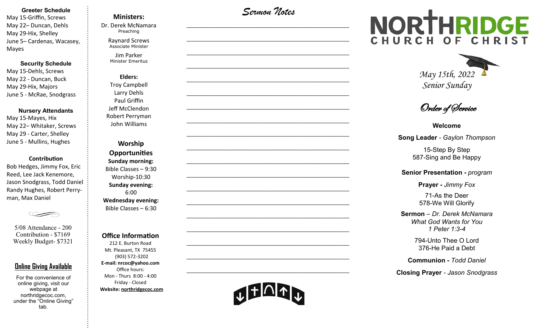#### **Greeter Schedule**

May 15-Griffin, Screws May 22– Duncan, Dehls May 29-Hix, Shelley June 5– Cardenas, Wacasey, Mayes

#### **Security Schedule**

May 15-Dehls, Screws May 22 - Duncan, Buck May 29-Hix, Majors June 5 - McRae, Snodgrass

#### **Nursery Attendants**

May 15-Mayes, Hix May 22– Whitaker, Screws May 29 - Carter, Shelley June 5 - Mullins, Hughes

#### **Contribution**

Bob Hedges, Jimmy Fox, Eric Reed, Lee Jack Kenemore, Jason Snodgrass, Todd Daniel Randy Hughes, Robert Perryman, Max Daniel



5/08 Attendance - 200 Contribution - \$7169 Weekly Budget- \$7321

#### **Online Giving Available**

For the convenience of online giving, visit our webpage at northridgecoc.com, under the "Online Giving" tab.

**Ministers:** 

Dr. Derek McNamara Preaching 

> Raynard Screws Associate Minister

Jim Parker Minister Emeritus

**Elders:** Troy Campbell Larry Dehls Paul Griffin Jeff McClendon Robert Perryman John Williams

**Worship Opportunities Sunday morning:**  Bible Classes – 9:30 Worship-10:30 **Sunday evening:**  6:00 **Wednesday evening:** Bible Classes – 6:30

#### **Office Information**

212 E. Burton Road Mt. Pleasant, TX 75455 (903) 572-3202 **E-mail: nrcoc@yahoo.com** Office hours: Mon - Thurs 8:00 - 4:00 Friday - Closed **Website: northridgecoc.com**

*Sermon Notes*

 $\mathcal{L}_\text{max}$ 

 $\mathcal{L}_\text{max}$  , and the set of the set of the set of the set of the set of the set of the set of the set of the set of the set of the set of the set of the set of the set of the set of the set of the set of the set of the

 $\mathcal{L}_\text{max}$  , and the set of the set of the set of the set of the set of the set of the set of the set of the set of the set of the set of the set of the set of the set of the set of the set of the set of the set of the

 $\mathcal{L}_\text{max}$  , and the set of the set of the set of the set of the set of the set of the set of the set of the set of the set of the set of the set of the set of the set of the set of the set of the set of the set of the

 $\mathcal{L}_\text{max}$ 

 $\mathcal{L}_\text{max}$ 

 $\mathcal{L}_\text{max}$  , and the set of the set of the set of the set of the set of the set of the set of the set of the set of the set of the set of the set of the set of the set of the set of the set of the set of the set of the

 $\mathcal{L}_\text{max}$  , and the set of the set of the set of the set of the set of the set of the set of the set of the set of the set of the set of the set of the set of the set of the set of the set of the set of the set of the

 $\mathcal{L}_\text{max}$  , and the set of the set of the set of the set of the set of the set of the set of the set of the set of the set of the set of the set of the set of the set of the set of the set of the set of the set of the

 $\mathcal{L}_\text{max}$ 

 $\mathcal{L}_\text{max}$  , and the set of the set of the set of the set of the set of the set of the set of the set of the set of the set of the set of the set of the set of the set of the set of the set of the set of the set of the

 $\mathcal{L}_\text{max}$  , and the set of the set of the set of the set of the set of the set of the set of the set of the set of the set of the set of the set of the set of the set of the set of the set of the set of the set of the

 $\mathcal{L}_\text{max}$  , and the set of the set of the set of the set of the set of the set of the set of the set of the set of the set of the set of the set of the set of the set of the set of the set of the set of the set of the

 $\mathcal{L}_\text{max}$  , and the set of the set of the set of the set of the set of the set of the set of the set of the set of the set of the set of the set of the set of the set of the set of the set of the set of the set of the

 $\mathcal{L}_\text{max}$ 

 $\mathcal{L}_\text{max}$  , and the set of the set of the set of the set of the set of the set of the set of the set of the set of the set of the set of the set of the set of the set of the set of the set of the set of the set of the

 $\mathcal{L}_\text{max}$  , and the set of the set of the set of the set of the set of the set of the set of the set of the set of the set of the set of the set of the set of the set of the set of the set of the set of the set of the

 $\mathcal{L}_\text{max}$  , and the set of the set of the set of the set of the set of the set of the set of the set of the set of the set of the set of the set of the set of the set of the set of the set of the set of the set of the

 $\mathcal{L}_\text{max}$  , and the set of the set of the set of the set of the set of the set of the set of the set of the set of the set of the set of the set of the set of the set of the set of the set of the set of the set of the

# NORTHRIDGE HURCH OF



Order of Service

**Welcome**

**Song Leader** *- Gaylon Thompson*

15-Step By Step 587-Sing and Be Happy

#### **Senior Presentation -** *program*

**Prayer -** *Jimmy Fox*

71-As the Deer 578-We Will Glorify

**Sermon** – *Dr. Derek McNamara What God Wants for You 1 Peter 1:3-4*

> 794-Unto Thee O Lord 376-He Paid a Debt

**Communion -** *Todd Daniel*

**Closing Prayer** *- Jason Snodgrass*